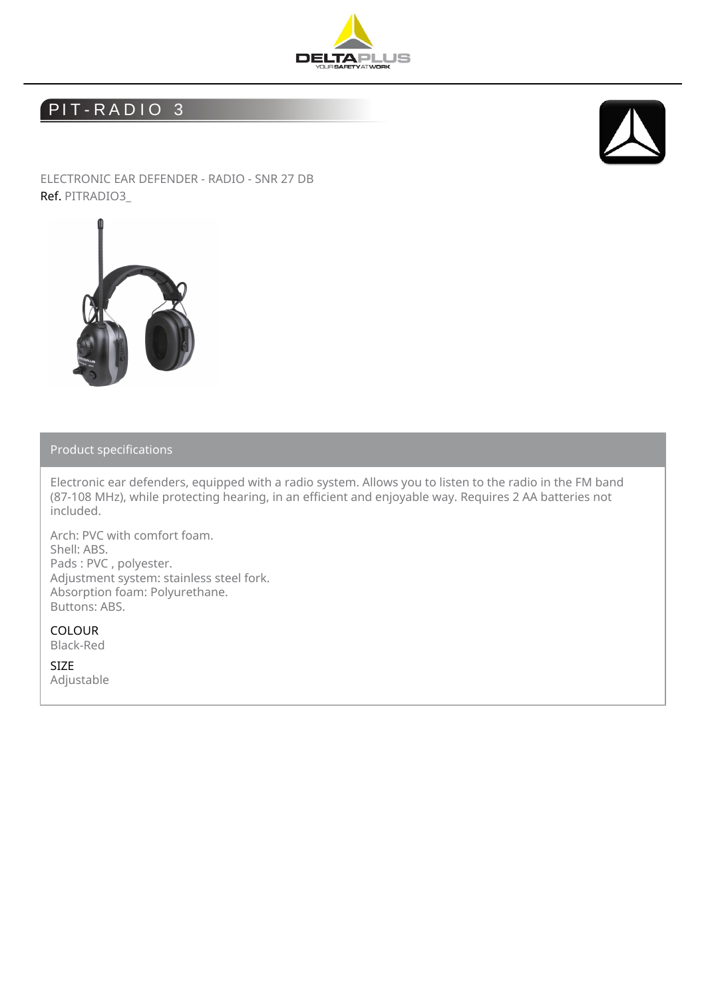

## PIT-RADIO<sub>3</sub>



ELECTRONIC EAR DEFENDER - RADIO - SNR 27 DB Ref. PITRADIO3\_



Product specifications

Electronic ear defenders, equipped with a radio system. Allows you to listen to the radio in the FM band (87-108 MHz), while protecting hearing, in an efficient and enjoyable way. Requires 2 AA batteries not included.

Arch: PVC with comfort foam. Shell: ABS. Pads : PVC , polyester. Adjustment system: stainless steel fork. Absorption foam: Polyurethane. Buttons: ABS.

COLOUR Black-Red

SIZE Adjustable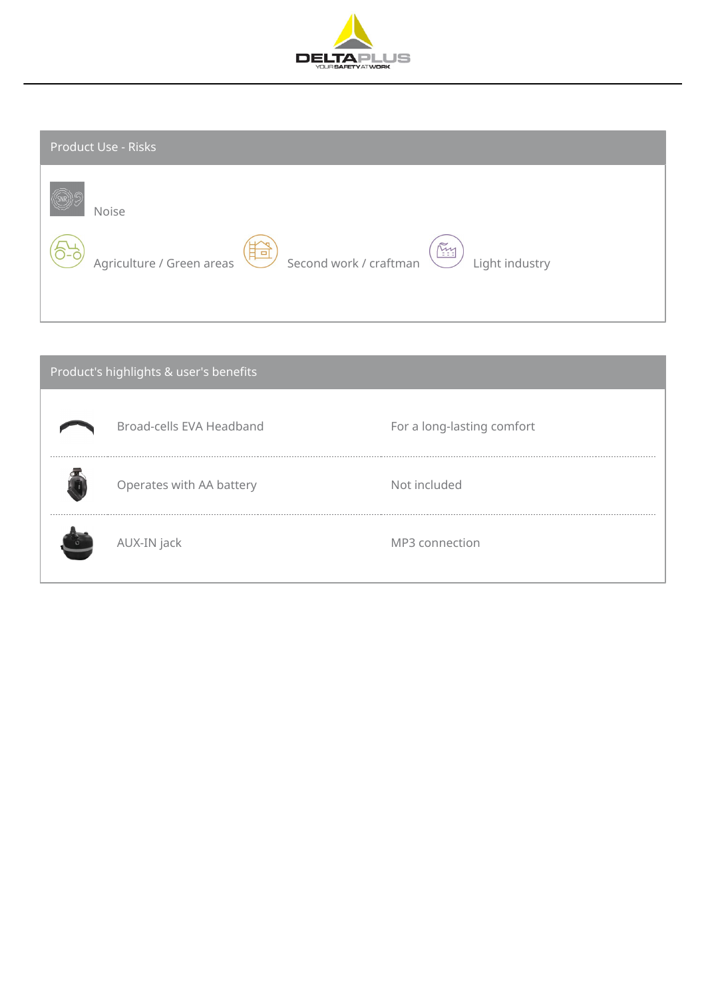

| Product Use - Risks                                                                                     |  |  |  |  |  |  |
|---------------------------------------------------------------------------------------------------------|--|--|--|--|--|--|
| Noise<br>MAY<br>Second work / craftman<br>Agriculture / Green areas<br>$\Box$<br>$-1$<br>Light industry |  |  |  |  |  |  |

| Product's highlights & user's benefits |                          |                            |  |  |  |  |
|----------------------------------------|--------------------------|----------------------------|--|--|--|--|
|                                        | Broad-cells EVA Headband | For a long-lasting comfort |  |  |  |  |
|                                        | Operates with AA battery | Not included               |  |  |  |  |
| $\circ$                                | AUX-IN jack              | MP3 connection             |  |  |  |  |